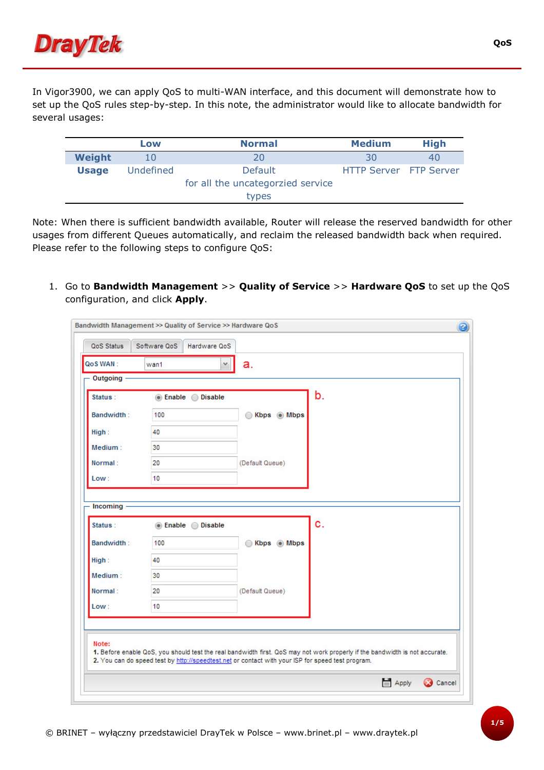

In Vigor3900, we can apply QoS to multi-WAN interface, and this document will demonstrate how to set up the QoS rules step-by-step. In this note, the administrator would like to allocate bandwidth for several usages:

|              | Low       | <b>Normal</b>                     | <b>Medium</b>                 | <b>High</b> |
|--------------|-----------|-----------------------------------|-------------------------------|-------------|
| Weight       |           | 20                                | 30                            | 40          |
| <b>Usage</b> | Undefined | <b>Default</b>                    | <b>HTTP Server</b> FTP Server |             |
|              |           | for all the uncategorzied service |                               |             |
|              |           | types                             |                               |             |

Note: When there is sufficient bandwidth available, Router will release the reserved bandwidth for other usages from different Queues automatically, and reclaim the released bandwidth back when required. Please refer to the following steps to configure QoS:

1. Go to Bandwidth Management >> Quality of Service >> Hardware QoS to set up the QoS configuration, and click Apply.

| Status:           | ◉ Enable ◯ Disable |                 | b. |
|-------------------|--------------------|-----------------|----|
| <b>Bandwidth:</b> | 100                | Kbps Mbps<br>⊙  |    |
| High:             | 40                 |                 |    |
| Medium:           | 30                 |                 |    |
| Normal:           | 20                 | (Default Queue) |    |
| Low:              | 10                 |                 |    |
| Bandwidth:        | 100                | Kbps Mbps<br>⊙  |    |
|                   |                    |                 |    |
|                   | 40                 |                 |    |
| High:             | 30                 |                 |    |
| Medium:           |                    |                 |    |
| Normal:           | 20                 | (Default Queue) |    |
| Low:              | 10                 |                 |    |
|                   |                    |                 |    |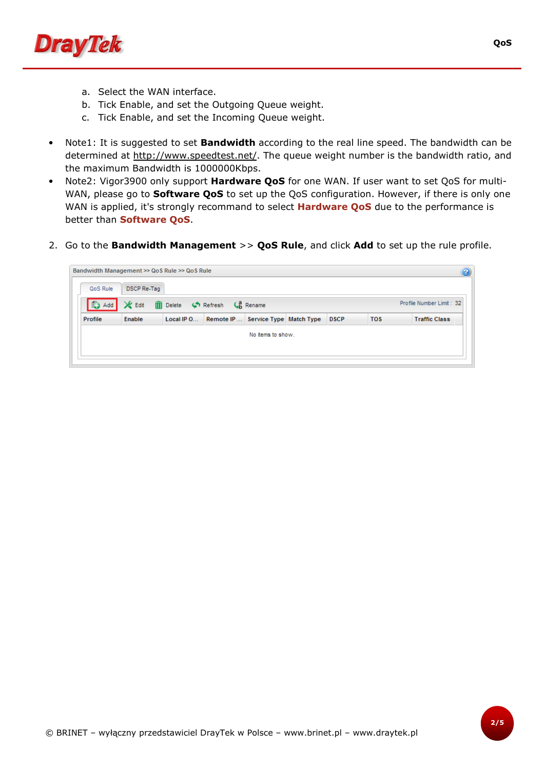

- a. Select the WAN interface.
- b. Tick Enable, and set the Outgoing Queue weight.
- c. Tick Enable, and set the Incoming Queue weight.
- Note1: It is suggested to set **Bandwidth** according to the real line speed. The bandwidth can be determined at http://www.speedtest.net/. The queue weight number is the bandwidth ratio, and the maximum Bandwidth is 1000000Kbps.
- Note2: Vigor3900 only support **Hardware QoS** for one WAN. If user want to set QoS for multi-WAN, please go to **Software QoS** to set up the QoS configuration. However, if there is only one WAN is applied, it's strongly recommand to select **Hardware QoS** due to the performance is better than Software QoS.
- 2. Go to the Bandwidth Management >> QoS Rule, and click Add to set up the rule profile.

| Bandwidth Management >> QoS Rule >> QoS Rule |                    |            |                                                      |                   |             |            |                          |
|----------------------------------------------|--------------------|------------|------------------------------------------------------|-------------------|-------------|------------|--------------------------|
| QoS Rule                                     | <b>DSCP Re-Tag</b> |            |                                                      |                   |             |            |                          |
| <b>O</b> Add                                 | <b>X</b> Edit      |            | <b>III</b> Delete $\bullet$ Refresh $\bullet$ Rename |                   |             |            | Profile Number Limit: 32 |
| Profile                                      | Enable             | Local IP O | Remote IP  Service Type Match Type                   |                   | <b>DSCP</b> | <b>TOS</b> | <b>Traffic Class</b>     |
|                                              |                    |            |                                                      | No items to show. |             |            |                          |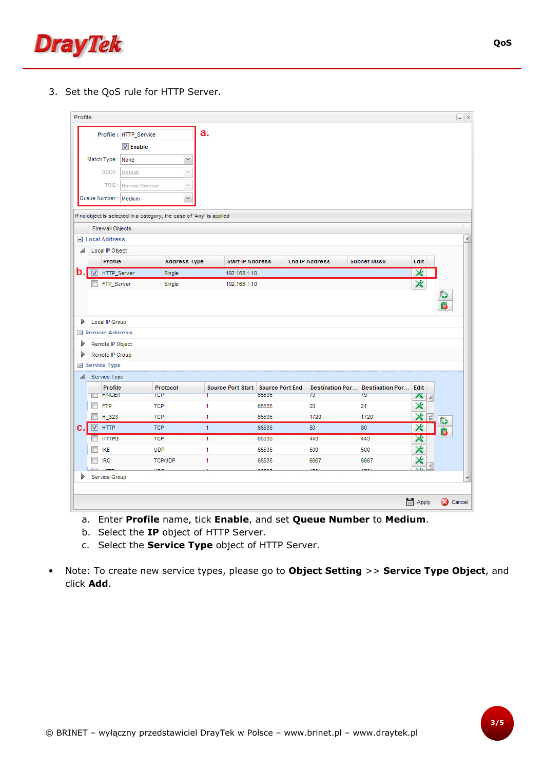

3. Set the QoS rule for HTTP Server.

| Profile        |                               |                        |                                                                      |              |                         |                                   |                        |                        |                         |                  |           |
|----------------|-------------------------------|------------------------|----------------------------------------------------------------------|--------------|-------------------------|-----------------------------------|------------------------|------------------------|-------------------------|------------------|-----------|
|                |                               | Profile : HTTP_Service |                                                                      | a.           |                         |                                   |                        |                        |                         |                  |           |
|                |                               | $\nabla$ Enable        |                                                                      |              |                         |                                   |                        |                        |                         |                  |           |
|                | Match Type: None              |                        | v                                                                    |              |                         |                                   |                        |                        |                         |                  |           |
|                | DSCP:                         | Default                | $\mathcal{A}$                                                        |              |                         |                                   |                        |                        |                         |                  |           |
|                | TOS:                          | Normal-Service         | v                                                                    |              |                         |                                   |                        |                        |                         |                  |           |
|                | Queue Number: Medium          |                        | v                                                                    |              |                         |                                   |                        |                        |                         |                  |           |
|                |                               |                        |                                                                      |              |                         |                                   |                        |                        |                         |                  |           |
|                |                               |                        | If no object is selected in a category, the case of 'Any' is applied |              |                         |                                   |                        |                        |                         |                  |           |
|                | <b>Firewall Objects</b>       |                        |                                                                      |              |                         |                                   |                        |                        |                         |                  |           |
|                | <b>El Local Address</b>       |                        |                                                                      |              |                         |                                   |                        |                        |                         |                  |           |
| ◢              | Local IP Object               |                        |                                                                      |              |                         |                                   |                        |                        |                         |                  |           |
|                | Profile                       |                        | <b>Address Type</b>                                                  |              | <b>Start IP Address</b> |                                   | <b>End IP Address</b>  | <b>Subnet Mask</b>     | Edit                    |                  |           |
| $\mathbf{b}$ . | V<br>HTTP_Server              |                        | Single                                                               |              | 192.168.1.10            |                                   |                        |                        | X                       |                  |           |
|                |                               |                        |                                                                      |              |                         |                                   |                        |                        |                         |                  |           |
|                | FTP_Server                    |                        | Single                                                               |              | 192.168.1.10            |                                   |                        |                        | $\mathsf{x}$            |                  | O         |
|                | Local IP Group                |                        |                                                                      |              |                         |                                   |                        |                        |                         |                  | ß         |
|                | $\blacksquare$ Remote Address |                        |                                                                      |              |                         |                                   |                        |                        |                         |                  |           |
|                | Remote IP Object              |                        |                                                                      |              |                         |                                   |                        |                        |                         |                  |           |
|                | Remote IP Group               |                        |                                                                      |              |                         |                                   |                        |                        |                         |                  |           |
| Þ<br>D<br>Þ    | Service Type                  |                        |                                                                      |              |                         |                                   |                        |                        |                         |                  |           |
| ◢              | Service Type                  |                        |                                                                      |              |                         |                                   |                        |                        |                         |                  |           |
|                | Profile                       |                        | Protocol                                                             |              |                         | Source Port Start Source Port End | <b>Destination Por</b> | <b>Destination Por</b> | Edit                    |                  |           |
|                | <b>FINGER</b>                 |                        | TCP                                                                  | T            |                         | 65535                             | 79                     | 79                     | ×                       | $\left  \right.$ |           |
|                | <b>FTP</b>                    |                        | <b>TCP</b>                                                           | 1            |                         | 65535                             | 20                     | 21                     | ⋇                       |                  |           |
|                | H 323                         |                        | <b>TCP</b>                                                           | 1            |                         | 65535                             | 1720                   | 1720                   | X E                     |                  | $\bullet$ |
| c.             | $V$ HTTP                      |                        | <b>TCP</b>                                                           | $\mathbf{1}$ |                         | 65535                             | 80                     | 80                     | $\overline{\mathsf{x}}$ |                  | ß         |
|                | <b>HTTPS</b>                  |                        | <b>TCP</b>                                                           | $\mathbf{1}$ |                         | 65535                             | 443                    | 443                    | $\mathbf{x}$            |                  |           |
|                | <b>IKE</b>                    |                        | <b>UDP</b>                                                           | 1            |                         | 65535                             | 500                    | 500                    | ×                       |                  |           |
|                | <b>IRC</b>                    |                        | <b>TCP/UDP</b>                                                       | 1            |                         | 65535                             | 6667                   | 6667                   | X                       | $\frac{1}{2}$    |           |

- a. Enter Profile name, tick Enable, and set Queue Number to Medium.
- b. Select the IP object of HTTP Server.
- c. Select the **Service Type** object of HTTP Server.
- Note: To create new service types, please go to Object Setting >> Service Type Object, and click Add.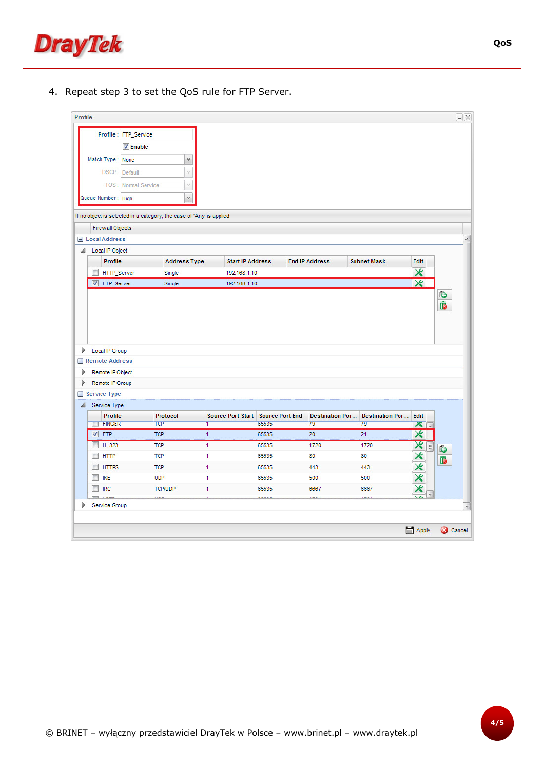

4. Repeat step 3 to set the QoS rule for FTP Server.

|                       |                                           | Profile: FTP_Service |                                                                      |              |                                            |                              |                              |                         |           |
|-----------------------|-------------------------------------------|----------------------|----------------------------------------------------------------------|--------------|--------------------------------------------|------------------------------|------------------------------|-------------------------|-----------|
|                       |                                           | $V$ Enable           |                                                                      |              |                                            |                              |                              |                         |           |
|                       | Match Type: None                          |                      | $\checkmark$                                                         |              |                                            |                              |                              |                         |           |
|                       | DSCP:                                     | Default              | $\mathcal{S}$                                                        |              |                                            |                              |                              |                         |           |
|                       | TOS:                                      | Normal-Service       | Ÿ                                                                    |              |                                            |                              |                              |                         |           |
|                       | Queue Number: High                        |                      | v.                                                                   |              |                                            |                              |                              |                         |           |
|                       |                                           |                      |                                                                      |              |                                            |                              |                              |                         |           |
|                       |                                           |                      | If no object is selected in a category, the case of 'Any' is applied |              |                                            |                              |                              |                         |           |
|                       | <b>Firewall Objects</b>                   |                      |                                                                      |              |                                            |                              |                              |                         |           |
|                       | <b>El Local Address</b>                   |                      |                                                                      |              |                                            |                              |                              |                         |           |
| ◢                     | Local IP Object                           |                      |                                                                      |              |                                            |                              |                              |                         |           |
|                       | Profile                                   |                      | <b>Address Type</b>                                                  |              | <b>Start IP Address</b>                    | <b>End IP Address</b>        | <b>Subnet Mask</b>           | Edit                    |           |
| $\Box$                | HTTP_Server                               |                      | Single                                                               |              | 192.168.1.10                               |                              |                              | ⋇                       |           |
|                       | FTP_Server                                |                      | Single                                                               |              | 192.168.1.10                               |                              |                              | $\overline{\mathbf{x}}$ |           |
|                       |                                           |                      |                                                                      |              |                                            |                              |                              |                         | O<br>ß    |
|                       | Local IP Group<br>$\equiv$ Remote Address |                      |                                                                      |              |                                            |                              |                              |                         |           |
|                       | Remote IP Object                          |                      |                                                                      |              |                                            |                              |                              |                         |           |
|                       | Remote IP Group                           |                      |                                                                      |              |                                            |                              |                              |                         |           |
|                       | $\equiv$ Service Type                     |                      |                                                                      |              |                                            |                              |                              |                         |           |
|                       | Service Type                              |                      |                                                                      |              |                                            |                              |                              |                         |           |
|                       | Profile<br><b>TET FINGER</b>              |                      | Protocol<br>TCP                                                      | Τ            | Source Port Start Source Port End<br>65535 | <b>Destination Por</b><br>79 | <b>Destination Por</b><br>79 | Edit<br>$\times$        |           |
|                       | $\nabla$ FTP                              |                      | <b>TCP</b>                                                           | $\mathbf{1}$ | 65535                                      | 20                           | 21                           | $\overline{\mathbf{x}}$ |           |
|                       | H_323                                     |                      | <b>TCP</b>                                                           | $\mathbf{1}$ | 65535                                      | 1720                         | 1720                         |                         |           |
| $\Box$                | <b>HTTP</b>                               |                      | <b>TCP</b>                                                           | 1            | 65535                                      | 80                           | 80                           | メ目                      | $\bullet$ |
| F                     | <b>HTTPS</b>                              |                      | <b>TCP</b>                                                           | 1            | 65535                                      | 443                          | 443                          |                         | ß         |
| D<br>D<br>D<br>◢<br>F | <b>IKE</b>                                |                      | <b>UDP</b>                                                           | 1            | 65535                                      | 500                          | 500                          | $x$ $\times$            |           |
| F                     | <b>IRC</b>                                |                      | <b>TCP/UDP</b>                                                       | 1            | 65535                                      | 6667                         | 6667                         | ⋇                       |           |
| D                     | Service Group                             |                      |                                                                      |              |                                            |                              |                              |                         |           |